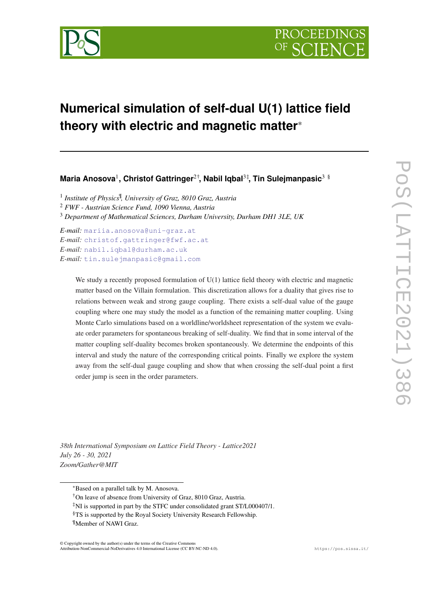

# **Numerical simulation of self-dual U(1) lattice field theory with electric and magnetic matter**\*

**Maria Anosova**<sup>1</sup> **, Christof Gattringer**2†**, Nabil Iqbal**3‡**, Tin Sulejmanpasic**3 §

<sup>1</sup> Institute of Physics<sup>¶</sup>, University of Graz, 8010 Graz, Austria <sup>2</sup> *FWF - Austrian Science Fund, 1090 Vienna, Austria*

<sup>3</sup> *Department of Mathematical Sciences, Durham University, Durham DH1 3LE, UK*

*E-mail:* [mariia.anosova@uni-graz.at](mailto:mariia.anosova@uni-graz.at) *E-mail:* [christof.gattringer@fwf.ac.at](mailto:christof.gattringer@fwf.ac.at) *E-mail:* [nabil.iqbal@durham.ac.uk](mailto:nabil.iqbal@durham.ac.uk) *E-mail:* [tin.sulejmanpasic@gmail.com](mailto:tin.sulejmanpasic@gmail.com)

> We study a recently proposed formulation of U(1) lattice field theory with electric and magnetic matter based on the Villain formulation. This discretization allows for a duality that gives rise to relations between weak and strong gauge coupling. There exists a self-dual value of the gauge coupling where one may study the model as a function of the remaining matter coupling. Using Monte Carlo simulations based on a worldline/worldsheet representation of the system we evaluate order parameters for spontaneous breaking of self-duality. We find that in some interval of the matter coupling self-duality becomes broken spontaneously. We determine the endpoints of this interval and study the nature of the corresponding critical points. Finally we explore the system away from the self-dual gauge coupling and show that when crossing the self-dual point a first order jump is seen in the order parameters.

*38th International Symposium on Lattice Field Theory - Lattice2021 July 26 - 30, 2021 Zoom/Gather@MIT*

<sup>\*</sup>Based on a parallel talk by M. Anosova.

<sup>†</sup>On leave of absence from University of Graz, 8010 Graz, Austria.

<sup>&</sup>lt;sup>‡</sup>NI is supported in part by the STFC under consolidated grant ST/L000407/1.

<sup>§</sup>TS is supported by the Royal Society University Research Fellowship.

<sup>¶</sup>Member of NAWI Graz.

<sup>©</sup> Copyright owned by the author(s) under the terms of the Creative Commons Attribution-NonCommercial-NoDerivatives 4.0 International License (CC BY-NC-ND 4.0). https://pos.sissa.it/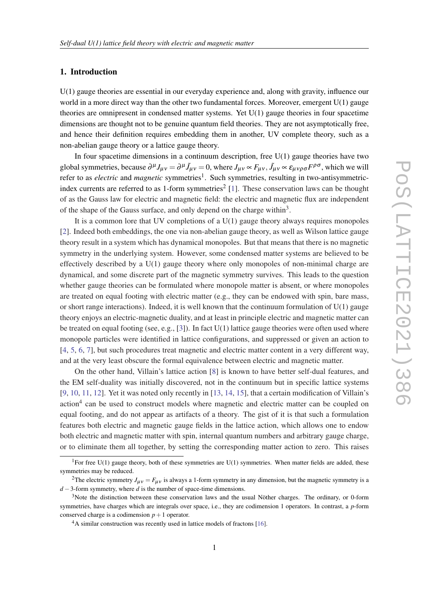## 1. Introduction

U(1) gauge theories are essential in our everyday experience and, along with gravity, influence our world in a more direct way than the other two fundamental forces. Moreover, emergent  $U(1)$  gauge theories are omnipresent in condensed matter systems. Yet U(1) gauge theories in four spacetime dimensions are thought not to be genuine quantum field theories. They are not asymptotically free, and hence their definition requires embedding them in another, UV complete theory, such as a non-abelian gauge theory or a lattice gauge theory.

In four spacetime dimensions in a continuum description, free  $U(1)$  gauge theories have two global symmetries, because  $\partial^{\mu}J_{\mu\nu} = \partial^{\mu}\tilde{J}_{\mu\nu} = 0$ , where  $J_{\mu\nu} \propto F_{\mu\nu}$ ,  $\tilde{J}_{\mu\nu} \propto \varepsilon_{\mu\nu\rho\sigma} F^{\rho\sigma}$ , which we will refer to as *electric* and *magnetic* symmetries<sup>1</sup>. Such symmetries, resulting in two-antisymmetric-index currents are referred to as [1](#page-8-0)-form symmetries<sup>2</sup> [1]. These conservation laws can be thought of as the Gauss law for electric and magnetic field: the electric and magnetic flux are independent of the shape of the Gauss surface, and only depend on the charge within<sup>3</sup>.

It is a common lore that UV completions of a  $U(1)$  gauge theory always requires monopoles [[2](#page-8-0)]. Indeed both embeddings, the one via non-abelian gauge theory, as well as Wilson lattice gauge theory result in a system which has dynamical monopoles. But that means that there is no magnetic symmetry in the underlying system. However, some condensed matter systems are believed to be effectively described by a U(1) gauge theory where only monopoles of non-minimal charge are dynamical, and some discrete part of the magnetic symmetry survives. This leads to the question whether gauge theories can be formulated where monopole matter is absent, or where monopoles are treated on equal footing with electric matter  $(e.g., they can be endowed with spin, bare mass,$ or short range interactions). Indeed, it is well known that the continuum formulation of  $U(1)$  gauge theory enjoys an electric-magnetic duality, and at least in principle electric and magnetic matter can be treated on equal footing (see, e.g., [[3\]](#page-8-0)). In fact  $U(1)$  lattice gauge theories were often used where monopole particles were identified in lattice configurations, and suppressed or given an action to [[4](#page-8-0), [5,](#page-8-0) [6,](#page-8-0) [7\]](#page-8-0), but such procedures treat magnetic and electric matter content in a very different way, and at the very least obscure the formal equivalence between electric and magnetic matter.

On the other hand, Villain's lattice action [\[8\]](#page-8-0) is known to have better self-dual features, and the EM self-duality was initially discovered, not in the continuum but in specific lattice systems [[9](#page-8-0), [10](#page-8-0), [11,](#page-8-0) [12\]](#page-8-0). Yet it was noted only recently in [[13,](#page-8-0) [14,](#page-8-0) [15\]](#page-8-0), that a certain modification of Villain's action<sup>4</sup> can be used to construct models where magnetic and electric matter can be coupled on equal footing, and do not appear as artifacts of a theory. The gist of it is that such a formulation features both electric and magnetic gauge fields in the lattice action, which allows one to endow both electric and magnetic matter with spin, internal quantum numbers and arbitrary gauge charge, or to eliminate them all together, by setting the corresponding matter action to zero. This raises

<sup>&</sup>lt;sup>1</sup>For free U(1) gauge theory, both of these symmetries are U(1) symmetries. When matter fields are added, these symmetries may be reduced.

<sup>&</sup>lt;sup>2</sup>The electric symmetry  $J_{\mu\nu} = F_{\mu\nu}$  is always a 1-form symmetry in any dimension, but the magnetic symmetry is a *d* − 3-form symmetry, where *d* is the number of space-time dimensions.

<sup>3</sup>Note the distinction between these conservation laws and the usual Nöther charges. The ordinary, or 0-form symmetries, have charges which are integrals over space, i.e., they are codimension 1 operators. In contrast, a *p*-form conserved charge is a codimension  $p+1$  operator.

<sup>&</sup>lt;sup>4</sup>A similar construction was recently used in lattice models of fractons [\[16](#page-8-0)].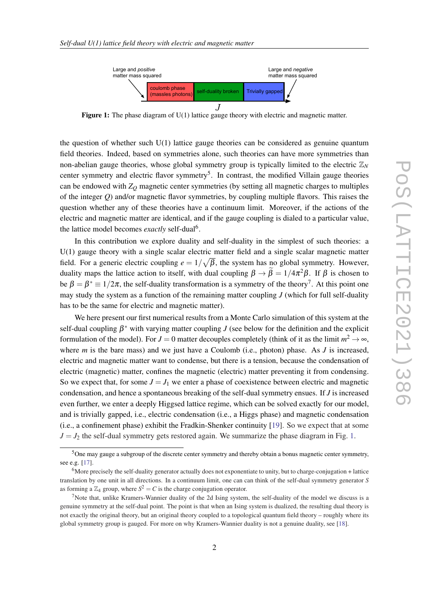

Figure 1: The phase diagram of U(1) lattice gauge theory with electric and magnetic matter.

the question of whether such U(1) lattice gauge theories can be considered as genuine quantum field theories. Indeed, based on symmetries alone, such theories can have more symmetries than non-abelian gauge theories, whose global symmetry group is typically limited to the electric  $\mathbb{Z}_N$ center symmetry and electric flavor symmetry<sup>5</sup>. In contrast, the modified Villain gauge theories can be endowed with  $Z<sub>O</sub>$  magnetic center symmetries (by setting all magnetic charges to multiples of the integer *Q*) and/or magnetic flavor symmetries, by coupling multiple flavors. This raises the question whether any of these theories have a continuum limit. Moreover, if the actions of the electric and magnetic matter are identical, and if the gauge coupling is dialed to a particular value, the lattice model becomes *exactly* self-dual<sup>6</sup>.

In this contribution we explore duality and self-duality in the simplest of such theories: a U(1) gauge theory with a single scalar electric matter field and a single scalar magnetic matter field. For a generic electric coupling  $e = 1/\sqrt{\beta}$ , the system has no global symmetry. However, duality maps the lattice action to itself, with dual coupling  $\beta \to \beta = 1/4\pi^2 \beta$ . If  $\beta$  is chosen to be  $\beta = \beta^* \equiv 1/2\pi$ , the self-duality transformation is a symmetry of the theory<sup>7</sup>. At this point one may study the system as a function of the remaining matter coupling *J* (which for full self-duality has to be the same for electric and magnetic matter).

We here present our first numerical results from a Monte Carlo simulation of this system at the self-dual coupling  $\beta^*$  with varying matter coupling *J* (see below for the definition and the explicit formulation of the model). For  $J = 0$  matter decouples completely (think of it as the limit  $m^2 \to \infty$ , where *m* is the bare mass) and we just have a Coulomb (i.e., photon) phase. As *J* is increased, electric and magnetic matter want to condense, but there is a tension, because the condensation of electric (magnetic) matter, confines the magnetic (electric) matter preventing it from condensing. So we expect that, for some  $J = J_1$  we enter a phase of coexistence between electric and magnetic condensation, and hence a spontaneous breaking of the self-dual symmetry ensues. If *J* is increased even further, we enter a deeply Higgsed lattice regime, which can be solved exactly for our model, and is trivially gapped, i.e., electric condensation (i.e., a Higgs phase) and magnetic condensation (i.e., a confinement phase) exhibit the Fradkin-Shenker continuity [\[19](#page-8-0)]. So we expect that at some  $J = J_2$  the self-dual symmetry gets restored again. We summarize the phase diagram in Fig. 1.

<sup>5</sup>One may gauge a subgroup of the discrete center symmetry and thereby obtain a bonus magnetic center symmetry, see e.g. [[17\]](#page-8-0).

 $6$ More precisely the self-duality generator actually does not exponentiate to unity, but to charge-conjugation + lattice translation by one unit in all directions. In a continuum limit, one can can think of the self-dual symmetry generator *S* as forming a  $\mathbb{Z}_4$  group, where  $S^2 = C$  is the charge conjugation operator.

<sup>&</sup>lt;sup>7</sup>Note that, unlike Kramers-Wannier duality of the 2d Ising system, the self-duality of the model we discuss is a genuine symmetry at the self-dual point. The point is that when an Ising system is dualized, the resulting dual theory is not exactly the original theory, but an original theory coupled to a topological quantum field theory – roughly where its global symmetry group is gauged. For more on why Kramers-Wannier duality is not a genuine duality, see [\[18](#page-8-0)].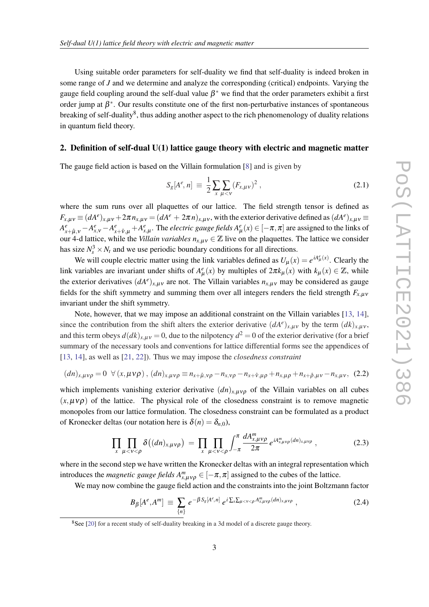<span id="page-3-0"></span>Using suitable order parameters for self-duality we find that self-duality is indeed broken in some range of *J* and we determine and analyze the corresponding (critical) endpoints. Varying the gauge field coupling around the self-dual value  $\beta^*$  we find that the order parameters exhibit a first order jump at  $\beta^*$ . Our results constitute one of the first non-perturbative instances of spontaneous breaking of self-duality<sup>8</sup>, thus adding another aspect to the rich phenomenology of duality relations in quantum field theory.

## 2. Definition of self-dual U(1) lattice gauge theory with electric and magnetic matter

The gauge field action is based on the Villain formulation [[8](#page-8-0)] and is given by

$$
S_g[A^e, n] \equiv \frac{1}{2} \sum_{x} \sum_{\mu < v} (F_{x,\mu\nu})^2 \,, \tag{2.1}
$$

where the sum runs over all plaquettes of our lattice. The field strength tensor is defined as  $F_{x,\mu\nu} \equiv (dA^e)_{x,\mu\nu} + 2\pi n_{x,\mu\nu} = (dA^e + 2\pi n)_{x,\mu\nu}$ , with the exterior derivative defined as  $(dA^e)_{x,\mu\nu} \equiv$  $A^e_{x+\hat{\mu},v} - A^e_{x,v} - A^e_{x+\hat{v},\mu} + A^e_{x,\mu}$ . The *electric gauge fields*  $A^e_\mu(x) \in [-\pi,\pi]$  are assigned to the links of our 4-d lattice, while the *Villain variables*  $n_{x,\mu\nu} \in \mathbb{Z}$  live on the plaquettes. The lattice we consider has size  $N_s^3 \times N_t$  and we use periodic boundary conditions for all directions.

We will couple electric matter using the link variables defined as  $U_{\mu}(x) = e^{iA_{\mu}^e(x)}$ . Clearly the link variables are invariant under shifts of  $A^e_\mu(x)$  by multiples of  $2\pi k_\mu(x)$  with  $k_\mu(x) \in \mathbb{Z}$ , while the exterior derivatives  $(dA^e)_{x,\mu\nu}$  are not. The Villain variables  $n_{x,\mu\nu}$  may be considered as gauge fields for the shift symmetry and summing them over all integers renders the field strength  $F_{x,\mu\nu}$ invariant under the shift symmetry.

Note, however, that we may impose an additional constraint on the Villain variables [\[13,](#page-8-0) [14\]](#page-8-0), since the contribution from the shift alters the exterior derivative  $(dA^e)_{x,\mu\nu}$  by the term  $(dk)_{x,\mu\nu}$ , and this term obeys  $d(dk)_{x,\mu\nu} = 0$ , due to the nilpotency  $d^2 = 0$  of the exterior derivative (for a brief summary of the necessary tools and conventions for lattice differential forms see the appendices of [[13,](#page-8-0) [14](#page-8-0)], as well as [\[21](#page-8-0), [22](#page-9-0)]). Thus we may impose the *closedness constraint*

$$
(dn)_{x,\mu\nu\rho} = 0 \ \ \forall (x,\mu\nu\rho), (dn)_{x,\mu\nu\rho} \equiv n_{x+\hat{\mu},\nu\rho} - n_{x,\nu\rho} - n_{x+\hat{\nu},\mu\rho} + n_{x,\mu\rho} + n_{x+\hat{\rho},\mu\nu} - n_{x,\mu\nu}, (2.2)
$$

which implements vanishing exterior derivative  $(dn)_{x, \mu\nu\rho}$  of the Villain variables on all cubes  $(x, \mu v \rho)$  of the lattice. The physical role of the closedness constraint is to remove magnetic monopoles from our lattice formulation. The closedness constraint can be formulated as a product of Kronecker deltas (our notation here is  $\delta(n) = \delta_{n,0}$ ),

$$
\prod_{x} \prod_{\mu < v < \rho} \delta\big((dn)_{x,\mu v\rho}\big) = \prod_{x} \prod_{\mu < v < \rho} \int_{-\pi}^{\pi} \frac{dA_{x,\mu v\rho}^m}{2\pi} e^{iA_{x,\mu v\rho}^m(dn)_{x,\mu v\rho}} \,, \tag{2.3}
$$

where in the second step we have written the Kronecker deltas with an integral representation which introduces the *magnetic gauge fields*  $A_{x,\mu\nu\rho}^{m} \in [-\pi,\pi]$  assigned to the cubes of the lattice.

We may now combine the gauge field action and the constraints into the joint Boltzmann factor

$$
B_{\beta}[A^e, A^m] \equiv \sum_{\{n\}} e^{-\beta S_g[A^e, n]} \, e^{i \sum_{x} \sum_{\mu < v < \rho} A_{x, \mu \nu \rho}^m(dn)_{x, \mu \nu \rho}} \;, \tag{2.4}
$$

<sup>&</sup>lt;sup>8</sup>See [[20\]](#page-8-0) for a recent study of self-duality breaking in a 3d model of a discrete gauge theory.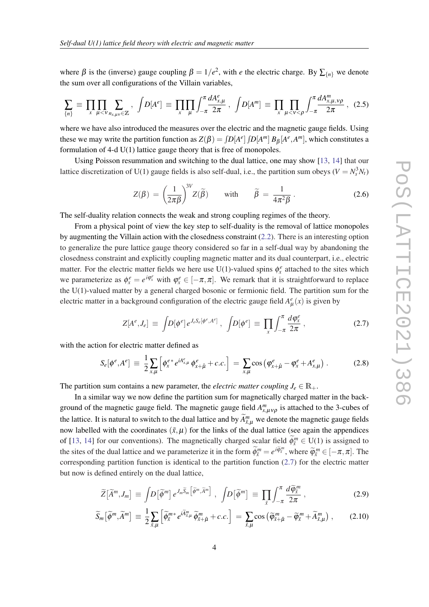where  $\beta$  is the (inverse) gauge coupling  $\beta = 1/e^2$ , with *e* the electric charge. By  $\sum_{n=1}^{\infty}$  we denote the sum over all configurations of the Villain variables,

$$
\sum_{\{n\}} \equiv \prod_{x} \prod_{\mu < v} \sum_{n_{x,\mu} \in \mathbb{Z}} \, , \, \, \int D[A^e] \equiv \prod_{x} \prod_{\mu} \int_{-\pi}^{\pi} \frac{dA_{x,\mu}^e}{2\pi} \, , \, \, \int D[A^m] \equiv \prod_{x} \prod_{\mu < v < \rho} \int_{-\pi}^{\pi} \frac{dA_{x,\mu,v\rho}^m}{2\pi} \, , \, \, (2.5)
$$

where we have also introduced the measures over the electric and the magnetic gauge fields. Using these we may write the partition function as  $Z(\beta) = \int D[A^e] \int D[A^m] B_\beta[A^e, A^m]$ , which constitutes a formulation of 4-d U(1) lattice gauge theory that is free of monopoles.

Using Poisson resummation and switching to the dual lattice, one may show [\[13](#page-8-0), [14\]](#page-8-0) that our lattice discretization of U(1) gauge fields is also self-dual, i.e., the partition sum obeys ( $V = N_s^3 N_t$ )

$$
Z(\beta) = \left(\frac{1}{2\pi\beta}\right)^{3V} Z(\widetilde{\beta}) \quad \text{with} \quad \widetilde{\beta} = \frac{1}{4\pi^2\beta} \,. \tag{2.6}
$$

The self-duality relation connects the weak and strong coupling regimes of the theory.

From a physical point of view the key step to self-duality is the removal of lattice monopoles by augmenting the Villain action with the closedness constraint [\(2.2](#page-3-0)). There is an interesting option to generalize the pure lattice gauge theory considered so far in a self-dual way by abandoning the closedness constraint and explicitly coupling magnetic matter and its dual counterpart, i.e., electric matter. For the electric matter fields we here use U(1)-valued spins  $\phi_x^e$  attached to the sites which we parameterize as  $\phi_x^e = e^{i\phi_x^e}$  with  $\phi_x^e \in [-\pi, \pi]$ . We remark that it is straightforward to replace the U(1)-valued matter by a general charged bosonic or fermionic field. The partition sum for the electric matter in a background configuration of the electric gauge field  $A^e_\mu(x)$  is given by

$$
Z[A^e, J_e] \equiv \int D[\phi^e] e^{J_e S_e[\phi^e, A^e]}, \quad \int D[\phi^e] \equiv \prod_x \int_{-\pi}^{\pi} \frac{d\phi_x^e}{2\pi}, \tag{2.7}
$$

with the action for electric matter defined as

$$
S_e[\phi^e, A^e] \equiv \frac{1}{2} \sum_{x,\mu} \left[ \phi_x^{e*} e^{i A^e_{x,\mu}} \phi_{x+\hat{\mu}}^e + c.c. \right] = \sum_{x,\mu} \cos \left( \phi_{x+\hat{\mu}}^e - \phi_x^e + A^e_{x,\mu} \right). \tag{2.8}
$$

The partition sum contains a new parameter, the *electric matter coupling*  $J_e \in \mathbb{R}_+$ .

In a similar way we now define the partition sum for magnetically charged matter in the background of the magnetic gauge field. The magnetic gauge field  $A^m_{x,\mu\nu\rho}$  is attached to the 3-cubes of the lattice. It is natural to switch to the dual lattice and by  $\widetilde{A}^m_{\tilde{x},\mu}$  we denote the magnetic gauge fields now labelled with the coordinates  $(\tilde{x}, \mu)$  for the links of the dual lattice (see again the appendices of [\[13](#page-8-0), [14](#page-8-0)] for our conventions). The magnetically charged scalar field  $\widetilde{\phi}_{\bar{x}}^m \in U(1)$  is assigned to the sites of the dual lattice and we parameterize it in the form  $\widetilde{\phi}_{\bar{x}}^m = e^{i\widetilde{\phi}_{\bar{x}}^m}$ , where  $\widetilde{\phi}_{\bar{x}}^m \in [-\pi, \pi]$ . The corresponding partition function is identical to the partition function  $(2.7)$  for the electric matter but now is defined entirely on the dual lattice,

$$
\widetilde{Z}[\widetilde{A}^m, J_m] \equiv \int D[\widetilde{\phi}^m] \, e^{J_m \widetilde{S}_m \left[\widetilde{\phi}^m, \widetilde{A}^m\right]} \;, \; \int D[\widetilde{\phi}^m] \equiv \prod_{\tilde{x}} \int_{-\pi}^{\pi} \frac{d\widetilde{\phi}_{\tilde{x}}^m}{2\pi} \;, \tag{2.9}
$$

$$
\widetilde{S}_m\left[\widetilde{\phi}^m,\widetilde{A}^m\right] \equiv \frac{1}{2} \sum_{\tilde{x},\mu} \left[\widetilde{\phi}_{\tilde{x}}^{m*} e^{i\widetilde{A}_{\tilde{x},\mu}^m}\widetilde{\phi}_{\tilde{x}+\hat{\mu}}^m + c.c.\right] = \sum_{\tilde{x},\mu} \cos\left(\widetilde{\phi}_{\tilde{x}+\hat{\mu}}^m - \widetilde{\phi}_{\tilde{x}}^m + \widetilde{A}_{\tilde{x},\mu}^m\right),\tag{2.10}
$$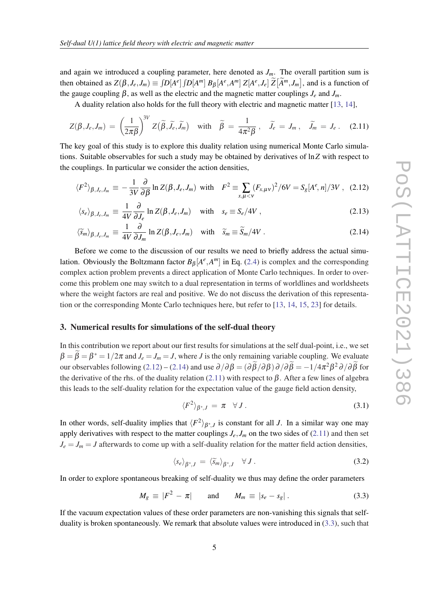and again we introduced a coupling parameter, here denoted as  $J_m$ . The overall partition sum is then obtained as  $Z(\beta, J_e, J_m) \equiv \int D[A^e] \int D[A^m] B_\beta[A^e, A^m] Z[A^e, J_e] \widetilde{Z}[\widetilde{A}^m, J_m]$ , and is a function of the gauge coupling  $\beta$ , as well as the electric and the magnetic matter couplings  $J_e$  and  $J_m$ .

A duality relation also holds for the full theory with electric and magnetic matter [\[13](#page-8-0), [14\]](#page-8-0),

$$
Z(\beta, J_e, J_m) = \left(\frac{1}{2\pi\beta}\right)^{3V} Z(\widetilde{\beta}, \widetilde{J}_e, \widetilde{J}_m) \quad \text{with} \quad \widetilde{\beta} = \frac{1}{4\pi^2\beta} \,, \quad \widetilde{J}_e = J_m \,, \quad \widetilde{J}_m = J_e \,. \tag{2.11}
$$

The key goal of this study is to explore this duality relation using numerical Monte Carlo simulations. Suitable observables for such a study may be obtained by derivatives of ln*Z* with respect to the couplings. In particular we consider the action densities,

$$
\langle F^2 \rangle_{\beta,J_e,J_m} \equiv -\frac{1}{3V} \frac{\partial}{\partial \beta} \ln Z(\beta,J_e,J_m) \text{ with } F^2 \equiv \sum_{x,\mu < v} (F_{x,\mu\nu})^2 / 6V = S_g[A^e,n] / 3V \,, \tag{2.12}
$$

$$
\langle s_e \rangle_{\beta, J_e, J_m} \equiv \frac{1}{4V} \frac{\partial}{\partial J_e} \ln Z(\beta, J_e, J_m) \quad \text{with} \quad s_e \equiv S_e/4V \,, \tag{2.13}
$$

$$
\langle \widetilde{s}_m \rangle_{\beta, J_e, J_m} \equiv \frac{1}{4V} \frac{\partial}{\partial J_m} \ln Z(\beta, J_e, J_m) \quad \text{with} \quad \widetilde{s}_m \equiv \widetilde{S}_m/4V \,. \tag{2.14}
$$

Before we come to the discussion of our results we need to briefly address the actual simulation. Obviously the Boltzmann factor  $B_{\beta}[A^e, A^m]$  in Eq. ([2.4](#page-3-0)) is complex and the corresponding complex action problem prevents a direct application of Monte Carlo techniques. In order to overcome this problem one may switch to a dual representation in terms of worldlines and worldsheets where the weight factors are real and positive. We do not discuss the derivation of this representation or the corresponding Monte Carlo techniques here, but refer to [\[13](#page-8-0), [14,](#page-8-0) [15](#page-8-0), [23](#page-9-0)] for details.

#### 3. Numerical results for simulations of the self-dual theory

In this contribution we report about our first results for simulations at the self dual-point, i.e., we set  $\beta = \beta = \beta^* = 1/2\pi$  and  $J_e = J_m = J$ , where *J* is the only remaining variable coupling. We evaluate our observables following (2.12) – (2.14) and use  $\partial/\partial \beta = (\partial \beta/\partial \beta) \partial/\partial \beta = -1/4\pi^2 \beta^2 \partial/\partial \beta$  for the derivative of the rhs. of the duality relation (2.11) with respect to  $\beta$ . After a few lines of algebra this leads to the self-duality relation for the expectation value of the gauge field action density,

$$
\langle F^2 \rangle_{\beta^*,J} = \pi \quad \forall J. \tag{3.1}
$$

In other words, self-duality implies that  $\langle F^2 \rangle_{\beta^*,J}$  is constant for all *J*. In a similar way one may apply derivatives with respect to the matter couplings  $J_e$ ,  $J_m$  on the two sides of (2.11) and then set  $J_e = J_m = J$  afterwards to come up with a self-duality relation for the matter field action densities,

$$
\langle s_e \rangle_{\beta^*,J} = \langle \widetilde{s}_m \rangle_{\beta^*,J} \quad \forall J. \tag{3.2}
$$

In order to explore spontaneous breaking of self-duality we thus may define the order parameters

$$
M_g \equiv |F^2 - \pi| \quad \text{and} \quad M_m \equiv |s_e - s_g| \,. \tag{3.3}
$$

If the vacuum expectation values of these order parameters are non-vanishing this signals that selfduality is broken spontaneously. We remark that absolute values were introduced in (3.3), such that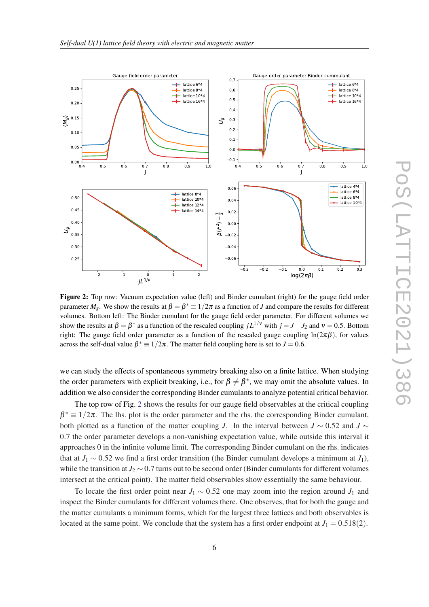<span id="page-6-0"></span>

Figure 2: Top row: Vacuum expectation value (left) and Binder cumulant (right) for the gauge field order parameter  $M_g$ . We show the results at  $\beta = \beta^* \equiv 1/2\pi$  as a function of *J* and compare the results for different volumes. Bottom left: The Binder cumulant for the gauge field order parameter. For different volumes we show the results at  $\beta = \beta^*$  as a function of the rescaled coupling  $jL^{1/\nu}$  with  $j = J - J_2$  and  $\nu = 0.5$ . Bottom right: The gauge field order parameter as a function of the rescaled gauge coupling  $ln(2\pi\beta)$ , for values across the self-dual value  $\beta^* \equiv 1/2\pi$ . The matter field coupling here is set to  $J = 0.6$ .

we can study the effects of spontaneous symmetry breaking also on a finite lattice. When studying the order parameters with explicit breaking, i.e., for  $\beta \neq \beta^*$ , we may omit the absolute values. In addition we also consider the corresponding Binder cumulants to analyze potential critical behavior.

The top row of Fig. 2 shows the results for our gauge field observables at the critical coupling  $\beta^* \equiv 1/2\pi$ . The lhs. plot is the order parameter and the rhs. the corresponding Binder cumulant, both plotted as a function of the matter coupling *J*. In the interval between  $J \sim 0.52$  and  $J \sim$ 0.7 the order parameter develops a non-vanishing expectation value, while outside this interval it approaches 0 in the infinite volume limit. The corresponding Binder cumulant on the rhs. indicates that at  $J_1 \sim 0.52$  we find a first order transition (the Binder cumulant develops a minimum at  $J_1$ ), while the transition at  $J_2 \sim 0.7$  turns out to be second order (Binder cumulants for different volumes intersect at the critical point). The matter field observables show essentially the same behaviour.

To locate the first order point near  $J_1 \sim 0.52$  one may zoom into the region around  $J_1$  and inspect the Binder cumulants for different volumes there. One observes, that for both the gauge and the matter cumulants a minimum forms, which for the largest three lattices and both observables is located at the same point. We conclude that the system has a first order endpoint at  $J_1 = 0.518(2)$ .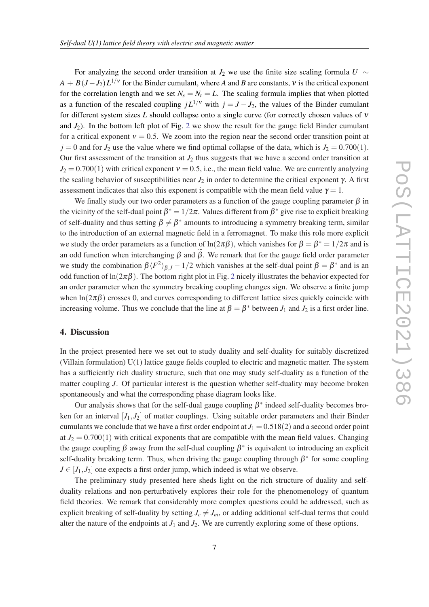For analyzing the second order transition at  $J_2$  we use the finite size scaling formula *U* ∼  $A + B(J - J_2)L^{1/\nu}$  for the Binder cumulant, where *A* and *B* are constants, *v* is the critical exponent for the correlation length and we set  $N_s = N_t = L$ . The scaling formula implies that when plotted as a function of the rescaled coupling  $jL^{1/\nu}$  with  $j = J - J_2$ , the values of the Binder cumulant for different system sizes *L* should collapse onto a single curve (for correctly chosen values of ν and  $J_2$  $J_2$ ). In the bottom left plot of Fig. 2 we show the result for the gauge field Binder cumulant for a critical exponent  $v = 0.5$ . We zoom into the region near the second order transition point at  $j = 0$  and for  $J_2$  use the value where we find optimal collapse of the data, which is  $J_2 = 0.700(1)$ . Our first assessment of the transition at  $J_2$  thus suggests that we have a second order transition at  $J_2 = 0.700(1)$  with critical exponent  $v = 0.5$ , i.e., the mean field value. We are currently analyzing the scaling behavior of susceptibilities near  $J_2$  in order to determine the critical exponent  $\gamma$ . A first assessment indicates that also this exponent is compatible with the mean field value  $\gamma = 1$ .

We finally study our two order parameters as a function of the gauge coupling parameter  $\beta$  in the vicinity of the self-dual point  $\beta^* = 1/2\pi$ . Values different from  $\beta^*$  give rise to explicit breaking of self-duality and thus setting  $\beta \neq \beta^*$  amounts to introducing a symmetry breaking term, similar to the introduction of an external magnetic field in a ferromagnet. To make this role more explicit we study the order parameters as a function of  $ln(2\pi\beta)$ , which vanishes for  $\beta = \beta^* = 1/2\pi$  and is an odd function when interchanging  $\beta$  and  $\beta$ . We remark that for the gauge field order parameter we study the combination  $\beta \langle F^2 \rangle_{\beta,J} - 1/2$  which vanishes at the self-dual point  $\beta = \beta^*$  and is an odd function of  $\ln(2\pi\beta)$  $\ln(2\pi\beta)$  $\ln(2\pi\beta)$ . The bottom right plot in Fig. 2 nicely illustrates the behavior expected for an order parameter when the symmetry breaking coupling changes sign. We observe a finite jump when  $\ln(2\pi\beta)$  crosses 0, and curves corresponding to different lattice sizes quickly coincide with increasing volume. Thus we conclude that the line at  $\beta = \beta^*$  between  $J_1$  and  $J_2$  is a first order line.

## 4. Discussion

In the project presented here we set out to study duality and self-duality for suitably discretized (Villain formulation) U(1) lattice gauge fields coupled to electric and magnetic matter. The system has a sufficiently rich duality structure, such that one may study self-duality as a function of the matter coupling *J*. Of particular interest is the question whether self-duality may become broken spontaneously and what the corresponding phase diagram looks like.

Our analysis shows that for the self-dual gauge coupling  $\beta^*$  indeed self-duality becomes broken for an interval  $[J_1, J_2]$  of matter couplings. Using suitable order parameters and their Binder cumulants we conclude that we have a first order endpoint at  $J_1 = 0.518(2)$  and a second order point at  $J_2 = 0.700(1)$  with critical exponents that are compatible with the mean field values. Changing the gauge coupling  $\beta$  away from the self-dual coupling  $\beta^*$  is equivalent to introducing an explicit self-duality breaking term. Thus, when driving the gauge coupling through  $\beta^*$  for some coupling  $J \in [J_1, J_2]$  one expects a first order jump, which indeed is what we observe.

The preliminary study presented here sheds light on the rich structure of duality and selfduality relations and non-perturbatively explores their role for the phenomenology of quantum field theories. We remark that considerably more complex questions could be addressed, such as explicit breaking of self-duality by setting  $J_e \neq J_m$ , or adding additional self-dual terms that could alter the nature of the endpoints at  $J_1$  and  $J_2$ . We are currently exploring some of these options.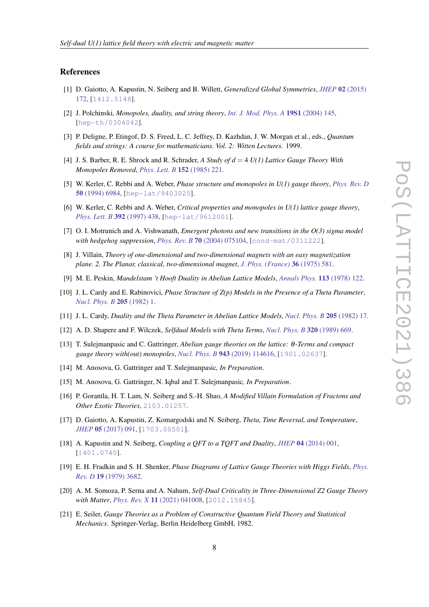### <span id="page-8-0"></span>References

- [1] D. Gaiotto, A. Kapustin, N. Seiberg and B. Willett, *Generalized Global Symmetries*, *JHEP* 02 [\(2015\)](http://dx.doi.org/10.1007/JHEP02(2015)172) [172](http://dx.doi.org/10.1007/JHEP02(2015)172), [[1412.5148](https://arxiv.org/abs/1412.5148)].
- [2] J. Polchinski, *Monopoles, duality, and string theory*, *[Int. J. Mod. Phys. A](http://dx.doi.org/10.1142/S0217751X0401866X)* 19S1 (2004) 145, [[hep-th/0304042](https://arxiv.org/abs/hep-th/0304042)].
- [3] P. Deligne, P. Etingof, D. S. Freed, L. C. Jeffrey, D. Kazhdan, J. W. Morgan et al., eds., *Quantum fields and strings: A course for mathematicians. Vol. 2: Witten Lectures*. 1999.
- [4] J. S. Barber, R. E. Shrock and R. Schrader, *A Study of d* = 4 *U(1) Lattice Gauge Theory With Monopoles Removed*, *[Phys. Lett. B](http://dx.doi.org/10.1016/0370-2693(85)91174-8)* 152 (1985) 221.
- [5] W. Kerler, C. Rebbi and A. Weber, *Phase structure and monopoles in U(1) gauge theory*, *[Phys. Rev. D](http://dx.doi.org/10.1103/PhysRevD.50.6984)* 50 [\(1994\) 6984,](http://dx.doi.org/10.1103/PhysRevD.50.6984) [[hep-lat/9403025](https://arxiv.org/abs/hep-lat/9403025)].
- [6] W. Kerler, C. Rebbi and A. Weber, *Critical properties and monopoles in U(1) lattice gauge theory*, *[Phys. Lett. B](http://dx.doi.org/10.1016/S0370-2693(96)01564-X)* 392 (1997) 438, [[hep-lat/9612001](https://arxiv.org/abs/hep-lat/9612001)].
- [7] O. I. Motrunich and A. Vishwanath, *Emergent photons and new transitions in the O(3) sigma model with hedgehog suppression*, *Phys. Rev. B* 70 [\(2004\) 075104,](http://dx.doi.org/10.1103/PhysRevB.70.075104) [[cond-mat/0311222](https://arxiv.org/abs/cond-mat/0311222)].
- [8] J. Villain, *Theory of one-dimensional and two-dimensional magnets with an easy magnetization plane. 2. The Planar, classical, two-dimensional magnet*, *[J. Phys. \(France\)](http://dx.doi.org/10.1051/jphys:01975003606058100)* 36 (1975) 581.
- [9] M. E. Peskin, *Mandelstam 't Hooft Duality in Abelian Lattice Models*, *[Annals Phys.](http://dx.doi.org/10.1016/0003-4916(78)90252-X)* 113 (1978) 122.
- [10] J. L. Cardy and E. Rabinovici, *Phase Structure of Z(p) Models in the Presence of a Theta Parameter*, *[Nucl. Phys. B](http://dx.doi.org/10.1016/0550-3213(82)90463-1)* 205 (1982) 1.
- [11] J. L. Cardy, *Duality and the Theta Parameter in Abelian Lattice Models*, *[Nucl. Phys. B](http://dx.doi.org/10.1016/0550-3213(82)90464-3)* 205 (1982) 17.
- [12] A. D. Shapere and F. Wilczek, *Selfdual Models with Theta Terms*, *[Nucl. Phys. B](http://dx.doi.org/10.1016/0550-3213(89)90016-3)* 320 (1989) 669.
- [13] T. Sulejmanpasic and C. Gattringer, *Abelian gauge theories on the lattice:* θ*-Terms and compact gauge theory with(out) monopoles*, *Nucl. Phys. B* 943 [\(2019\) 114616](http://dx.doi.org/10.1016/j.nuclphysb.2019.114616), [[1901.02637](https://arxiv.org/abs/1901.02637)].
- [14] M. Anosova, G. Gattringer and T. Sulejmanpasic*, In Preparation*.
- [15] M. Anosova, G. Gattringer, N. Iqbal and T. Sulejmanpasic*, In Preparation*.
- [16] P. Gorantla, H. T. Lam, N. Seiberg and S.-H. Shao, *A Modified Villain Formulation of Fractons and Other Exotic Theories*, [2103.01257](https://arxiv.org/abs/2103.01257).
- [17] D. Gaiotto, A. Kapustin, Z. Komargodski and N. Seiberg, *Theta, Time Reversal, and Temperature*, *JHEP* 05 [\(2017\) 091](http://dx.doi.org/10.1007/JHEP05(2017)091), [[1703.00501](https://arxiv.org/abs/1703.00501)].
- [18] A. Kapustin and N. Seiberg, *Coupling a QFT to a TQFT and Duality*, *JHEP* 04 [\(2014\) 001](http://dx.doi.org/10.1007/JHEP04(2014)001), [[1401.0740](https://arxiv.org/abs/1401.0740)].
- [19] E. H. Fradkin and S. H. Shenker, *Phase Diagrams of Lattice Gauge Theories with Higgs Fields*, *[Phys.](http://dx.doi.org/10.1103/PhysRevD.19.3682) Rev. D* 19 [\(1979\) 3682.](http://dx.doi.org/10.1103/PhysRevD.19.3682)
- [20] A. M. Somoza, P. Serna and A. Nahum, *Self-Dual Criticality in Three-Dimensional Z2 Gauge Theory with Matter*, *Phys. Rev. X* 11 [\(2021\) 041008,](http://dx.doi.org/10.1103/PhysRevX.11.041008) [[2012.15845](https://arxiv.org/abs/2012.15845)].
- [21] E. Seiler, *Gauge Theories as a Problem of Constructive Quantum Field Theory and Statistical Mechanics*. Springer-Verlag, Berlin Heidelberg GmbH, 1982.